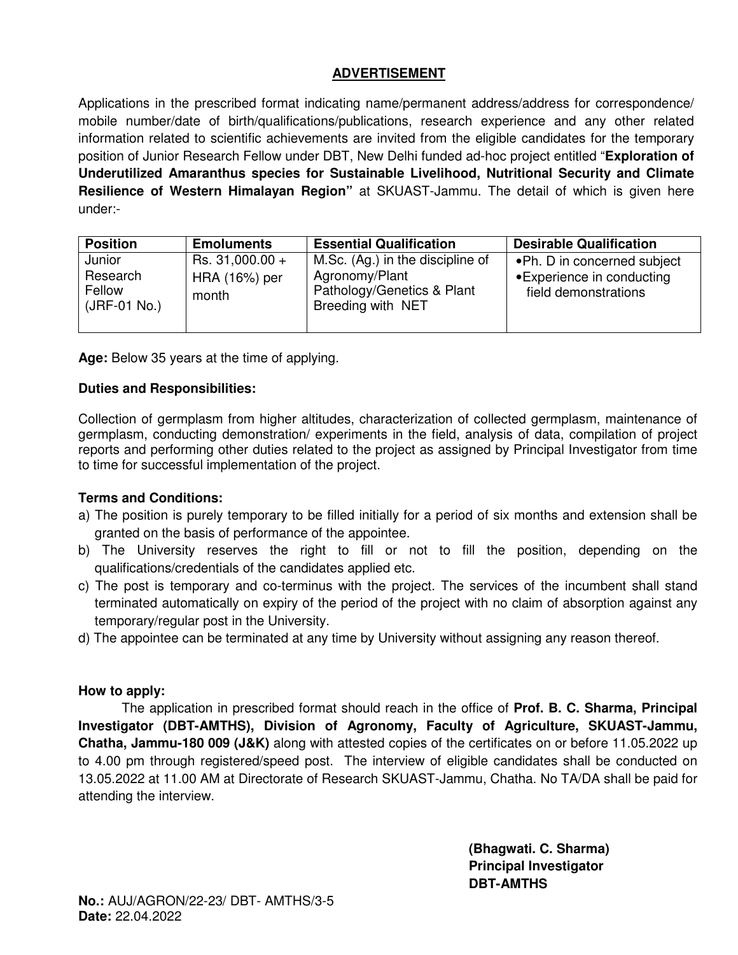## **ADVERTISEMENT**

Applications in the prescribed format indicating name/permanent address/address for correspondence/ mobile number/date of birth/qualifications/publications, research experience and any other related information related to scientific achievements are invited from the eligible candidates for the temporary position of Junior Research Fellow under DBT, New Delhi funded ad-hoc project entitled "**Exploration of Underutilized Amaranthus species for Sustainable Livelihood, Nutritional Security and Climate Resilience of Western Himalayan Region"** at SKUAST-Jammu. The detail of which is given here under:-

| <b>Position</b>                              | <b>Emoluments</b>                         | <b>Essential Qualification</b>                                                                        | <b>Desirable Qualification</b>                                                     |
|----------------------------------------------|-------------------------------------------|-------------------------------------------------------------------------------------------------------|------------------------------------------------------------------------------------|
| Junior<br>Research<br>Fellow<br>(JRF-01 No.) | Rs. 31,000.00 +<br>HRA (16%) per<br>month | M.Sc. (Ag.) in the discipline of<br>Agronomy/Plant<br>Pathology/Genetics & Plant<br>Breeding with NET | • Ph. D in concerned subject<br>• Experience in conducting<br>field demonstrations |

**Age:** Below 35 years at the time of applying.

#### **Duties and Responsibilities:**

Collection of germplasm from higher altitudes, characterization of collected germplasm, maintenance of germplasm, conducting demonstration/ experiments in the field, analysis of data, compilation of project reports and performing other duties related to the project as assigned by Principal Investigator from time to time for successful implementation of the project.

### **Terms and Conditions:**

- a) The position is purely temporary to be filled initially for a period of six months and extension shall be granted on the basis of performance of the appointee.
- b) The University reserves the right to fill or not to fill the position, depending on the qualifications/credentials of the candidates applied etc.
- c) The post is temporary and co-terminus with the project. The services of the incumbent shall stand terminated automatically on expiry of the period of the project with no claim of absorption against any temporary/regular post in the University.
- d) The appointee can be terminated at any time by University without assigning any reason thereof.

### **How to apply:**

The application in prescribed format should reach in the office of **Prof. B. C. Sharma, Principal Investigator (DBT-AMTHS), Division of Agronomy, Faculty of Agriculture, SKUAST-Jammu, Chatha, Jammu-180 009 (J&K)** along with attested copies of the certificates on or before 11.05.2022 up to 4.00 pm through registered/speed post. The interview of eligible candidates shall be conducted on 13.05.2022 at 11.00 AM at Directorate of Research SKUAST-Jammu, Chatha. No TA/DA shall be paid for attending the interview.

> **(Bhagwati. C. Sharma) Principal Investigator DBT-AMTHS**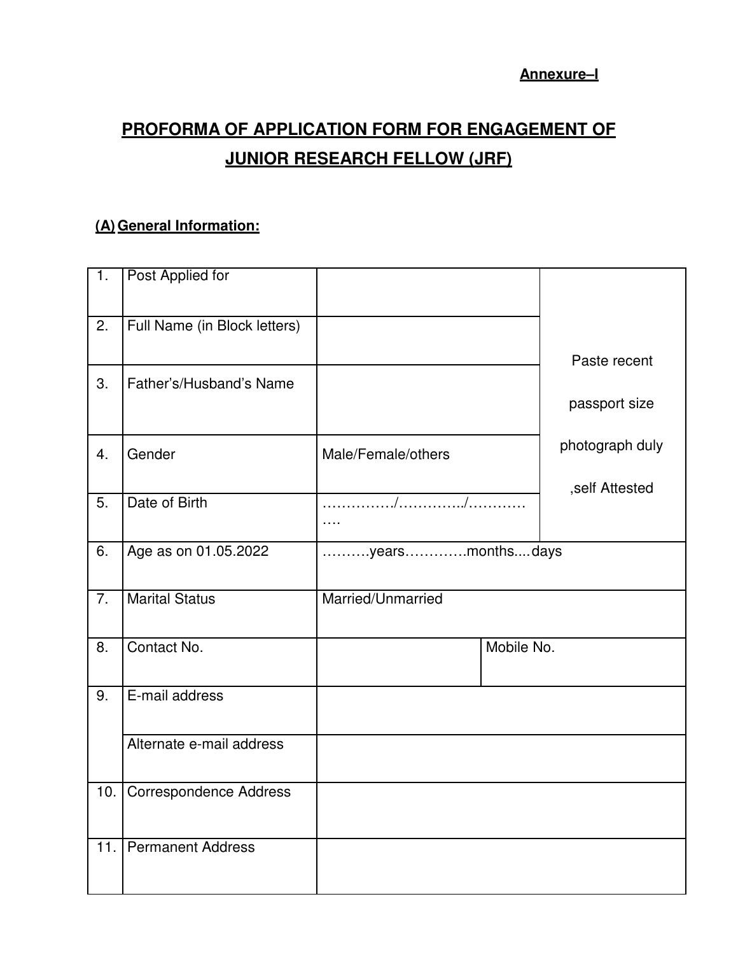**Annexure–I** 

# **PROFORMA OF APPLICATION FORM FOR ENGAGEMENT OF JUNIOR RESEARCH FELLOW (JRF)**

# **(A) General Information:**

| $\overline{1}$ . | Post Applied for              |                    |                 |
|------------------|-------------------------------|--------------------|-----------------|
|                  |                               |                    |                 |
| 2.               | Full Name (in Block letters)  |                    |                 |
|                  |                               |                    | Paste recent    |
| 3.               | Father's/Husband's Name       |                    | passport size   |
|                  |                               |                    |                 |
| 4.               | Gender                        | Male/Female/others | photograph duly |
|                  |                               |                    | ,self Attested  |
| 5.               | Date of Birth                 |                    |                 |
| 6.               | Age as on 01.05.2022          | yearsmonthsdays    |                 |
|                  |                               |                    |                 |
| 7.               | <b>Marital Status</b>         | Married/Unmarried  |                 |
| 8.               | Contact No.                   | Mobile No.         |                 |
|                  |                               |                    |                 |
| 9.               | E-mail address                |                    |                 |
|                  |                               |                    |                 |
|                  | Alternate e-mail address      |                    |                 |
| 10.              | <b>Correspondence Address</b> |                    |                 |
|                  |                               |                    |                 |
| 11.              | <b>Permanent Address</b>      |                    |                 |
|                  |                               |                    |                 |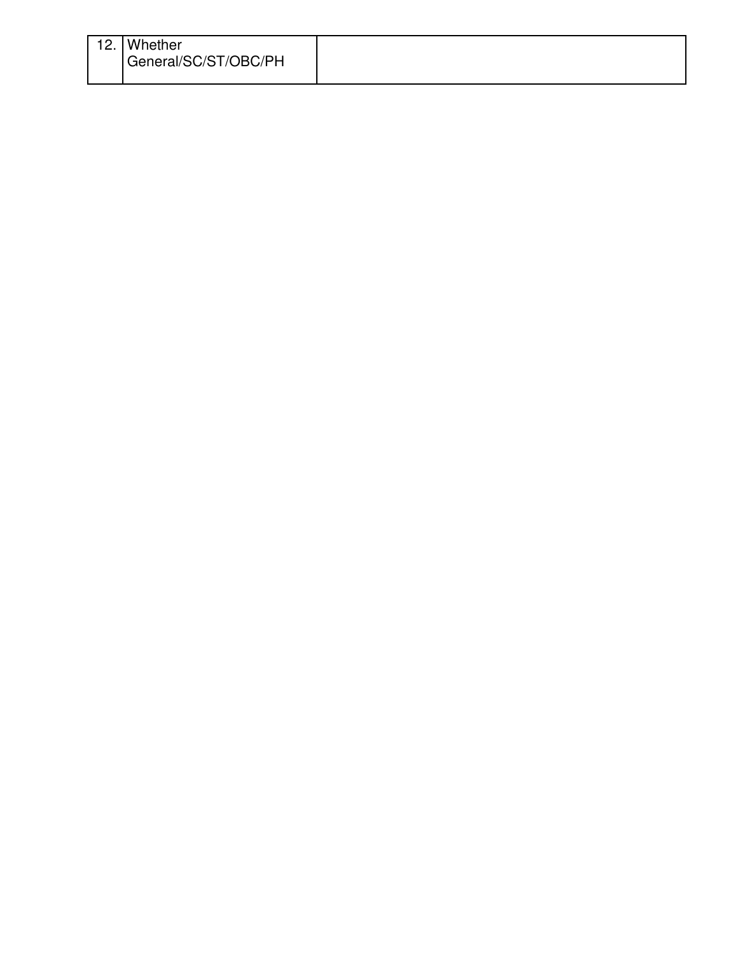| 12. | Whether<br>General/SC/ST/OBC/PH |  |
|-----|---------------------------------|--|
|     |                                 |  |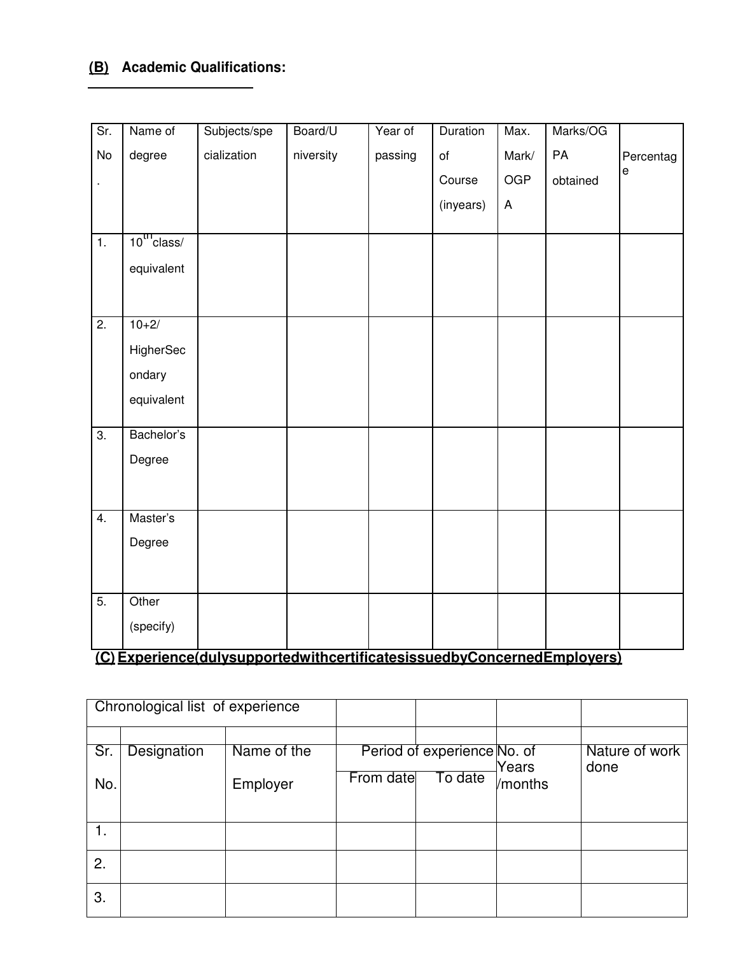# **(B) Academic Qualifications:**

| Sr.              | Name of          | Subjects/spe                                                            | Board/U   | Year of | Duration  | Max.                      | Marks/OG |           |
|------------------|------------------|-------------------------------------------------------------------------|-----------|---------|-----------|---------------------------|----------|-----------|
| No               | degree           | cialization                                                             | niversity | passing | of        | Mark/                     | PA       | Percentag |
|                  |                  |                                                                         |           |         | Course    | <b>OGP</b>                | obtained | е         |
|                  |                  |                                                                         |           |         | (inyears) | $\boldsymbol{\mathsf{A}}$ |          |           |
| $\overline{1}$ . | $10^{11}$ class/ |                                                                         |           |         |           |                           |          |           |
|                  | equivalent       |                                                                         |           |         |           |                           |          |           |
|                  |                  |                                                                         |           |         |           |                           |          |           |
|                  |                  |                                                                         |           |         |           |                           |          |           |
| $\overline{2}$ . | $10+2/$          |                                                                         |           |         |           |                           |          |           |
|                  | HigherSec        |                                                                         |           |         |           |                           |          |           |
|                  | ondary           |                                                                         |           |         |           |                           |          |           |
|                  | equivalent       |                                                                         |           |         |           |                           |          |           |
| $\overline{3}$ . | Bachelor's       |                                                                         |           |         |           |                           |          |           |
|                  | Degree           |                                                                         |           |         |           |                           |          |           |
|                  |                  |                                                                         |           |         |           |                           |          |           |
| $\overline{4}$ . | Master's         |                                                                         |           |         |           |                           |          |           |
|                  | Degree           |                                                                         |           |         |           |                           |          |           |
|                  |                  |                                                                         |           |         |           |                           |          |           |
| $\overline{5}$ . | Other            |                                                                         |           |         |           |                           |          |           |
|                  |                  |                                                                         |           |         |           |                           |          |           |
|                  | (specify)        |                                                                         |           |         |           |                           |          |           |
|                  |                  | (C) Experience(dulysupportedwithcertificatesissuedbyConcernedEmployers) |           |         |           |                           |          |           |

| Chronological list of experience |             |             |           |                             |         |                        |
|----------------------------------|-------------|-------------|-----------|-----------------------------|---------|------------------------|
|                                  |             |             |           |                             |         |                        |
| Sr.                              | Designation | Name of the |           | Period of experience No. of | Years   | Nature of work<br>done |
| No.                              |             | Employer    | From date | To date                     | /months |                        |
|                                  |             |             |           |                             |         |                        |
| 1.                               |             |             |           |                             |         |                        |
| 2.                               |             |             |           |                             |         |                        |
| 3.                               |             |             |           |                             |         |                        |